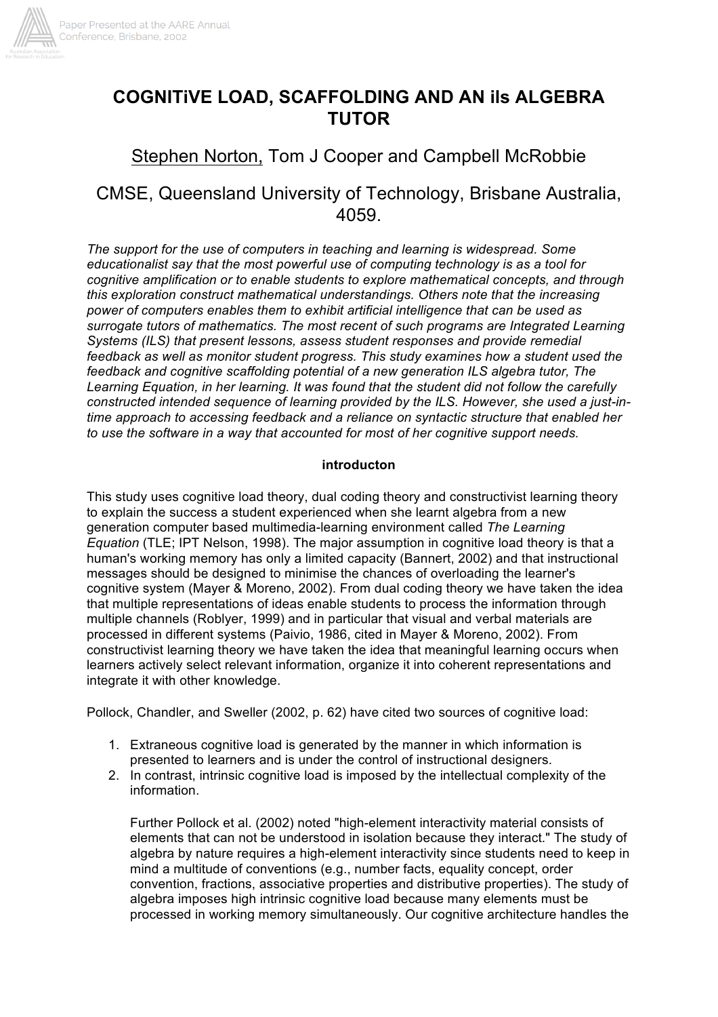

# **COGNITiVE LOAD, SCAFFOLDING AND AN ils ALGEBRA TUTOR**

## Stephen Norton, Tom J Cooper and Campbell McRobbie

## CMSE, Queensland University of Technology, Brisbane Australia, 4059.

*The support for the use of computers in teaching and learning is widespread. Some educationalist say that the most powerful use of computing technology is as a tool for cognitive amplification or to enable students to explore mathematical concepts, and through this exploration construct mathematical understandings. Others note that the increasing power of computers enables them to exhibit artificial intelligence that can be used as surrogate tutors of mathematics. The most recent of such programs are Integrated Learning Systems (ILS) that present lessons, assess student responses and provide remedial feedback as well as monitor student progress. This study examines how a student used the feedback and cognitive scaffolding potential of a new generation ILS algebra tutor, The Learning Equation, in her learning. It was found that the student did not follow the carefully constructed intended sequence of learning provided by the ILS. However, she used a just-intime approach to accessing feedback and a reliance on syntactic structure that enabled her to use the software in a way that accounted for most of her cognitive support needs.*

#### **introducton**

This study uses cognitive load theory, dual coding theory and constructivist learning theory to explain the success a student experienced when she learnt algebra from a new generation computer based multimedia-learning environment called *The Learning Equation* (TLE; IPT Nelson, 1998). The major assumption in cognitive load theory is that a human's working memory has only a limited capacity (Bannert, 2002) and that instructional messages should be designed to minimise the chances of overloading the learner's cognitive system (Mayer & Moreno, 2002). From dual coding theory we have taken the idea that multiple representations of ideas enable students to process the information through multiple channels (Roblyer, 1999) and in particular that visual and verbal materials are processed in different systems (Paivio, 1986, cited in Mayer & Moreno, 2002). From constructivist learning theory we have taken the idea that meaningful learning occurs when learners actively select relevant information, organize it into coherent representations and integrate it with other knowledge.

Pollock, Chandler, and Sweller (2002, p. 62) have cited two sources of cognitive load:

- 1. Extraneous cognitive load is generated by the manner in which information is presented to learners and is under the control of instructional designers.
- 2. In contrast, intrinsic cognitive load is imposed by the intellectual complexity of the information.

Further Pollock et al. (2002) noted "high-element interactivity material consists of elements that can not be understood in isolation because they interact." The study of algebra by nature requires a high-element interactivity since students need to keep in mind a multitude of conventions (e.g., number facts, equality concept, order convention, fractions, associative properties and distributive properties). The study of algebra imposes high intrinsic cognitive load because many elements must be processed in working memory simultaneously. Our cognitive architecture handles the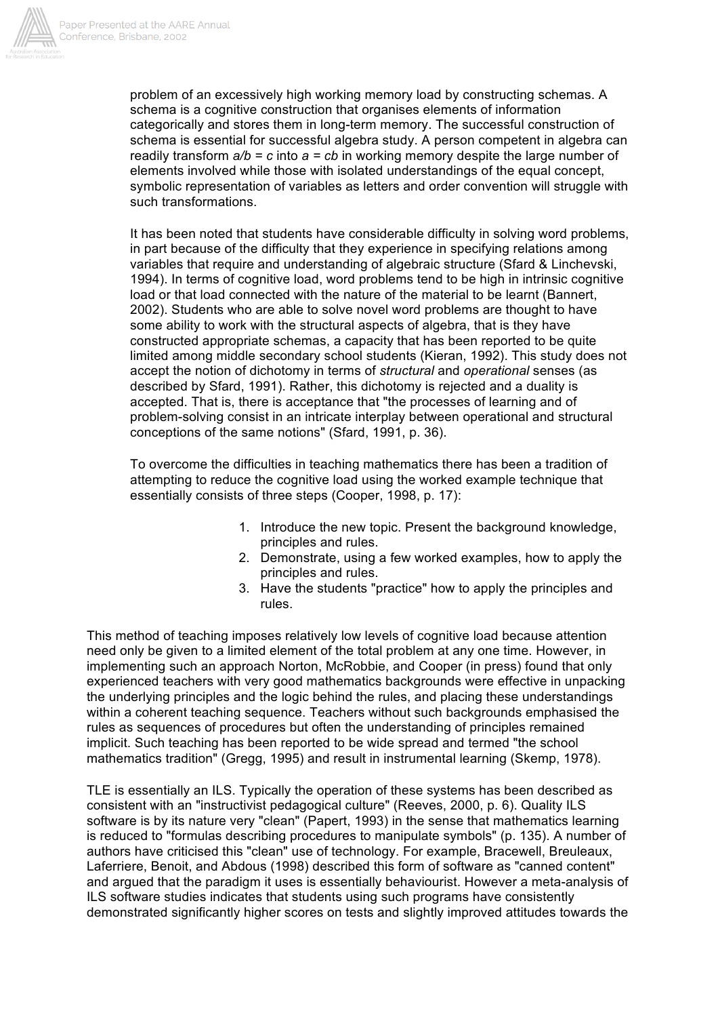

problem of an excessively high working memory load by constructing schemas. A schema is a cognitive construction that organises elements of information categorically and stores them in long-term memory. The successful construction of schema is essential for successful algebra study. A person competent in algebra can readily transform  $a/b = c$  into  $a = cb$  in working memory despite the large number of elements involved while those with isolated understandings of the equal concept, symbolic representation of variables as letters and order convention will struggle with such transformations.

It has been noted that students have considerable difficulty in solving word problems, in part because of the difficulty that they experience in specifying relations among variables that require and understanding of algebraic structure (Sfard & Linchevski, 1994). In terms of cognitive load, word problems tend to be high in intrinsic cognitive load or that load connected with the nature of the material to be learnt (Bannert, 2002). Students who are able to solve novel word problems are thought to have some ability to work with the structural aspects of algebra, that is they have constructed appropriate schemas, a capacity that has been reported to be quite limited among middle secondary school students (Kieran, 1992). This study does not accept the notion of dichotomy in terms of *structural* and *operational* senses (as described by Sfard, 1991). Rather, this dichotomy is rejected and a duality is accepted. That is, there is acceptance that "the processes of learning and of problem-solving consist in an intricate interplay between operational and structural conceptions of the same notions" (Sfard, 1991, p. 36).

To overcome the difficulties in teaching mathematics there has been a tradition of attempting to reduce the cognitive load using the worked example technique that essentially consists of three steps (Cooper, 1998, p. 17):

- 1. Introduce the new topic. Present the background knowledge, principles and rules.
- 2. Demonstrate, using a few worked examples, how to apply the principles and rules.
- 3. Have the students "practice" how to apply the principles and rules.

This method of teaching imposes relatively low levels of cognitive load because attention need only be given to a limited element of the total problem at any one time. However, in implementing such an approach Norton, McRobbie, and Cooper (in press) found that only experienced teachers with very good mathematics backgrounds were effective in unpacking the underlying principles and the logic behind the rules, and placing these understandings within a coherent teaching sequence. Teachers without such backgrounds emphasised the rules as sequences of procedures but often the understanding of principles remained implicit. Such teaching has been reported to be wide spread and termed "the school mathematics tradition" (Gregg, 1995) and result in instrumental learning (Skemp, 1978).

TLE is essentially an ILS. Typically the operation of these systems has been described as consistent with an "instructivist pedagogical culture" (Reeves, 2000, p. 6). Quality ILS software is by its nature very "clean" (Papert, 1993) in the sense that mathematics learning is reduced to "formulas describing procedures to manipulate symbols" (p. 135). A number of authors have criticised this "clean" use of technology. For example, Bracewell, Breuleaux, Laferriere, Benoit, and Abdous (1998) described this form of software as "canned content" and argued that the paradigm it uses is essentially behaviourist. However a meta-analysis of ILS software studies indicates that students using such programs have consistently demonstrated significantly higher scores on tests and slightly improved attitudes towards the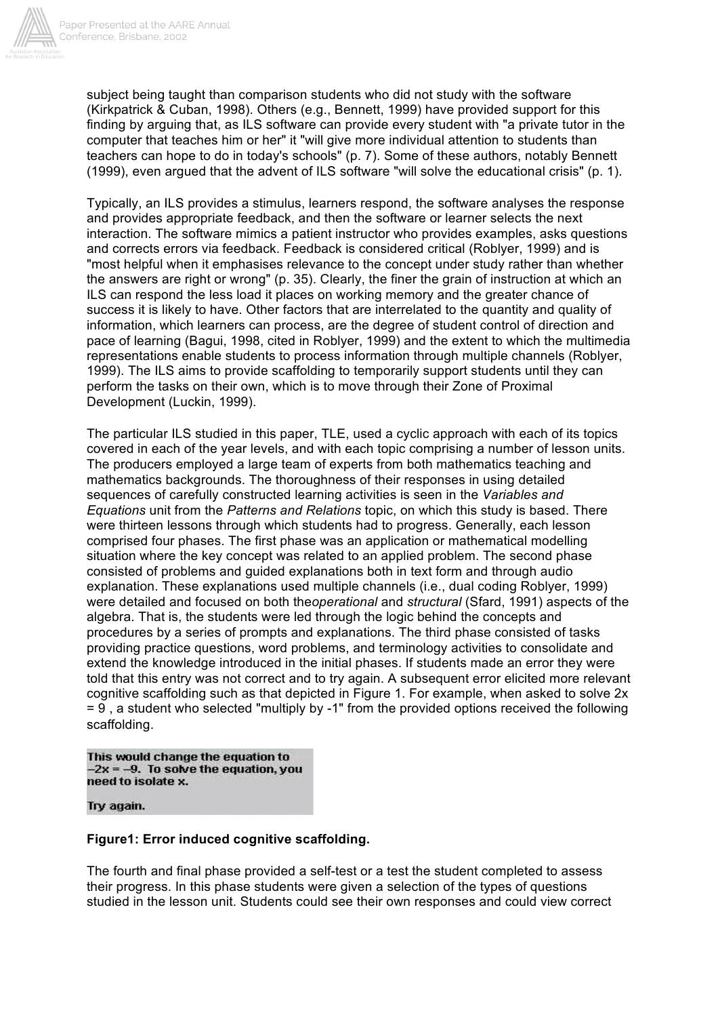

subject being taught than comparison students who did not study with the software (Kirkpatrick & Cuban, 1998). Others (e.g., Bennett, 1999) have provided support for this finding by arguing that, as ILS software can provide every student with "a private tutor in the computer that teaches him or her" it "will give more individual attention to students than teachers can hope to do in today's schools" (p. 7). Some of these authors, notably Bennett (1999), even argued that the advent of ILS software "will solve the educational crisis" (p. 1).

Typically, an ILS provides a stimulus, learners respond, the software analyses the response and provides appropriate feedback, and then the software or learner selects the next interaction. The software mimics a patient instructor who provides examples, asks questions and corrects errors via feedback. Feedback is considered critical (Roblyer, 1999) and is "most helpful when it emphasises relevance to the concept under study rather than whether the answers are right or wrong" (p. 35). Clearly, the finer the grain of instruction at which an ILS can respond the less load it places on working memory and the greater chance of success it is likely to have. Other factors that are interrelated to the quantity and quality of information, which learners can process, are the degree of student control of direction and pace of learning (Bagui, 1998, cited in Roblyer, 1999) and the extent to which the multimedia representations enable students to process information through multiple channels (Roblyer, 1999). The ILS aims to provide scaffolding to temporarily support students until they can perform the tasks on their own, which is to move through their Zone of Proximal Development (Luckin, 1999).

The particular ILS studied in this paper, TLE, used a cyclic approach with each of its topics covered in each of the year levels, and with each topic comprising a number of lesson units. The producers employed a large team of experts from both mathematics teaching and mathematics backgrounds. The thoroughness of their responses in using detailed sequences of carefully constructed learning activities is seen in the *Variables and Equations* unit from the *Patterns and Relations* topic, on which this study is based. There were thirteen lessons through which students had to progress. Generally, each lesson comprised four phases. The first phase was an application or mathematical modelling situation where the key concept was related to an applied problem. The second phase consisted of problems and guided explanations both in text form and through audio explanation. These explanations used multiple channels (i.e., dual coding Roblyer, 1999) were detailed and focused on both the*operational* and *structural* (Sfard, 1991) aspects of the algebra. That is, the students were led through the logic behind the concepts and procedures by a series of prompts and explanations. The third phase consisted of tasks providing practice questions, word problems, and terminology activities to consolidate and extend the knowledge introduced in the initial phases. If students made an error they were told that this entry was not correct and to try again. A subsequent error elicited more relevant cognitive scaffolding such as that depicted in Figure 1. For example, when asked to solve 2x = 9 , a student who selected "multiply by -1" from the provided options received the following scaffolding.

This would change the equation to  $-2x = -9$ . To solve the equation, you need to isolate x.

#### Try again.

## **Figure1: Error induced cognitive scaffolding.**

The fourth and final phase provided a self-test or a test the student completed to assess their progress. In this phase students were given a selection of the types of questions studied in the lesson unit. Students could see their own responses and could view correct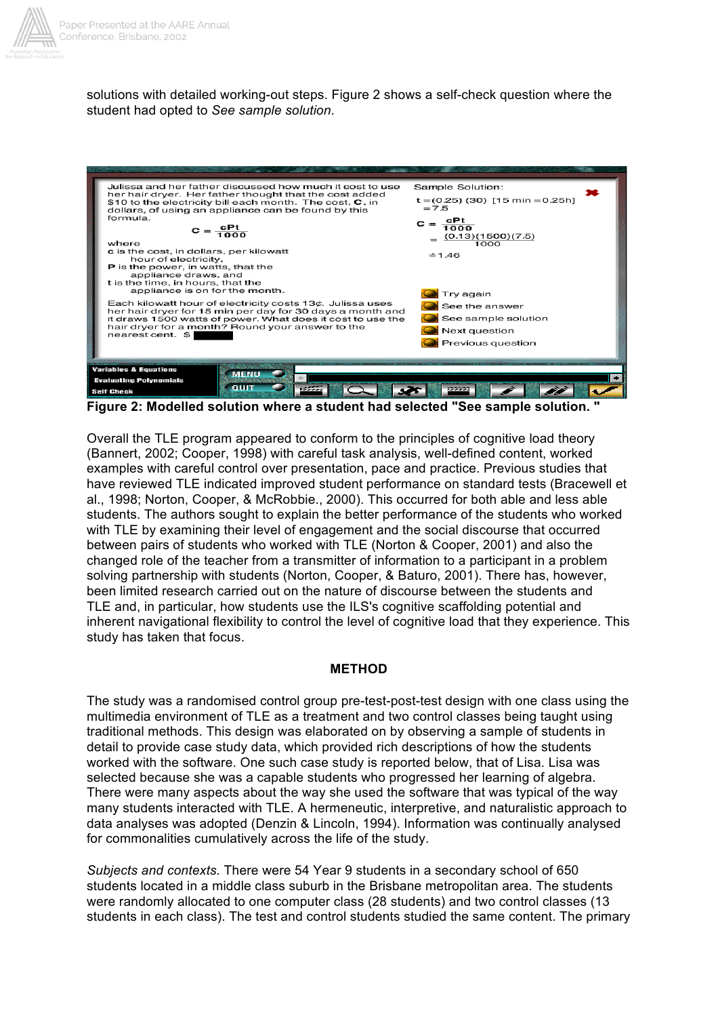

solutions with detailed working-out steps. Figure 2 shows a self-check question where the student had opted to *See sample solution*.



**Figure 2: Modelled solution where a student had selected "See sample solution. "**

Overall the TLE program appeared to conform to the principles of cognitive load theory (Bannert, 2002; Cooper, 1998) with careful task analysis, well-defined content, worked examples with careful control over presentation, pace and practice. Previous studies that have reviewed TLE indicated improved student performance on standard tests (Bracewell et al., 1998; Norton, Cooper, & McRobbie., 2000). This occurred for both able and less able students. The authors sought to explain the better performance of the students who worked with TLE by examining their level of engagement and the social discourse that occurred between pairs of students who worked with TLE (Norton & Cooper, 2001) and also the changed role of the teacher from a transmitter of information to a participant in a problem solving partnership with students (Norton, Cooper, & Baturo, 2001). There has, however, been limited research carried out on the nature of discourse between the students and TLE and, in particular, how students use the ILS's cognitive scaffolding potential and inherent navigational flexibility to control the level of cognitive load that they experience. This study has taken that focus.

#### **METHOD**

The study was a randomised control group pre-test-post-test design with one class using the multimedia environment of TLE as a treatment and two control classes being taught using traditional methods. This design was elaborated on by observing a sample of students in detail to provide case study data, which provided rich descriptions of how the students worked with the software. One such case study is reported below, that of Lisa. Lisa was selected because she was a capable students who progressed her learning of algebra. There were many aspects about the way she used the software that was typical of the way many students interacted with TLE. A hermeneutic, interpretive, and naturalistic approach to data analyses was adopted (Denzin & Lincoln, 1994). Information was continually analysed for commonalities cumulatively across the life of the study.

*Subjects and contexts.* There were 54 Year 9 students in a secondary school of 650 students located in a middle class suburb in the Brisbane metropolitan area. The students were randomly allocated to one computer class (28 students) and two control classes (13 students in each class). The test and control students studied the same content. The primary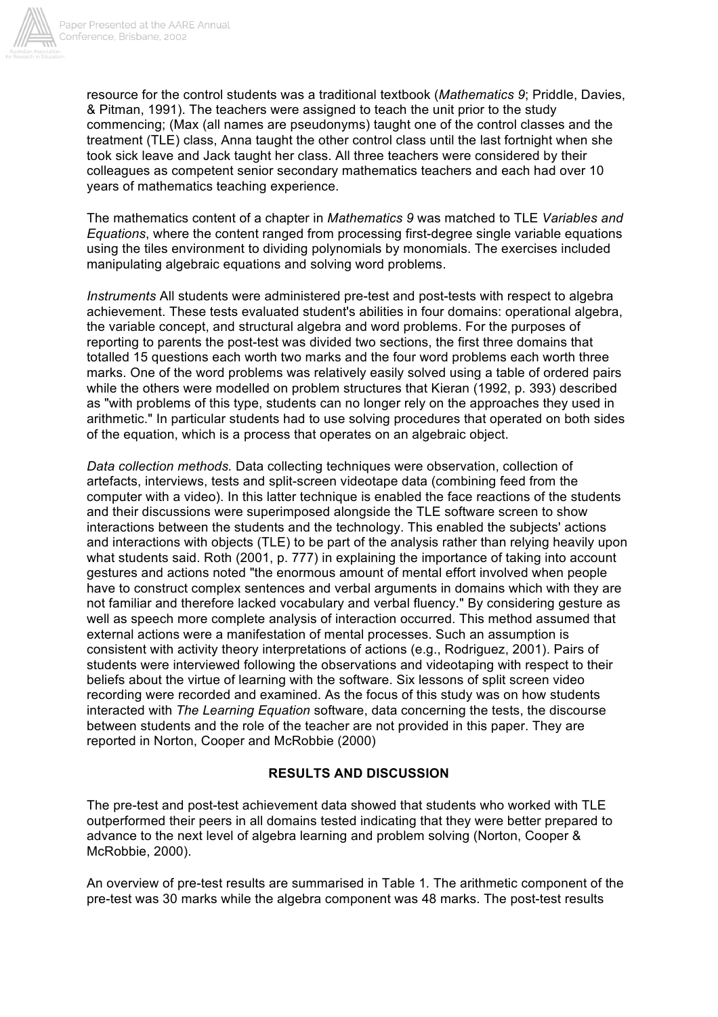

resource for the control students was a traditional textbook (*Mathematics 9*; Priddle, Davies, & Pitman, 1991). The teachers were assigned to teach the unit prior to the study commencing; (Max (all names are pseudonyms) taught one of the control classes and the treatment (TLE) class, Anna taught the other control class until the last fortnight when she took sick leave and Jack taught her class. All three teachers were considered by their colleagues as competent senior secondary mathematics teachers and each had over 10 years of mathematics teaching experience.

The mathematics content of a chapter in *Mathematics 9* was matched to TLE *Variables and Equations*, where the content ranged from processing first-degree single variable equations using the tiles environment to dividing polynomials by monomials. The exercises included manipulating algebraic equations and solving word problems.

*Instruments* All students were administered pre-test and post-tests with respect to algebra achievement. These tests evaluated student's abilities in four domains: operational algebra, the variable concept, and structural algebra and word problems. For the purposes of reporting to parents the post-test was divided two sections, the first three domains that totalled 15 questions each worth two marks and the four word problems each worth three marks. One of the word problems was relatively easily solved using a table of ordered pairs while the others were modelled on problem structures that Kieran (1992, p. 393) described as "with problems of this type, students can no longer rely on the approaches they used in arithmetic." In particular students had to use solving procedures that operated on both sides of the equation, which is a process that operates on an algebraic object.

*Data collection methods.* Data collecting techniques were observation, collection of artefacts, interviews, tests and split-screen videotape data (combining feed from the computer with a video). In this latter technique is enabled the face reactions of the students and their discussions were superimposed alongside the TLE software screen to show interactions between the students and the technology. This enabled the subjects' actions and interactions with objects (TLE) to be part of the analysis rather than relying heavily upon what students said. Roth (2001, p. 777) in explaining the importance of taking into account gestures and actions noted "the enormous amount of mental effort involved when people have to construct complex sentences and verbal arguments in domains which with they are not familiar and therefore lacked vocabulary and verbal fluency." By considering gesture as well as speech more complete analysis of interaction occurred. This method assumed that external actions were a manifestation of mental processes. Such an assumption is consistent with activity theory interpretations of actions (e.g., Rodriguez, 2001). Pairs of students were interviewed following the observations and videotaping with respect to their beliefs about the virtue of learning with the software. Six lessons of split screen video recording were recorded and examined. As the focus of this study was on how students interacted with *The Learning Equation* software, data concerning the tests, the discourse between students and the role of the teacher are not provided in this paper. They are reported in Norton, Cooper and McRobbie (2000)

## **RESULTS AND DISCUSSION**

The pre-test and post-test achievement data showed that students who worked with TLE outperformed their peers in all domains tested indicating that they were better prepared to advance to the next level of algebra learning and problem solving (Norton, Cooper & McRobbie, 2000).

An overview of pre-test results are summarised in Table 1*.* The arithmetic component of the pre-test was 30 marks while the algebra component was 48 marks. The post-test results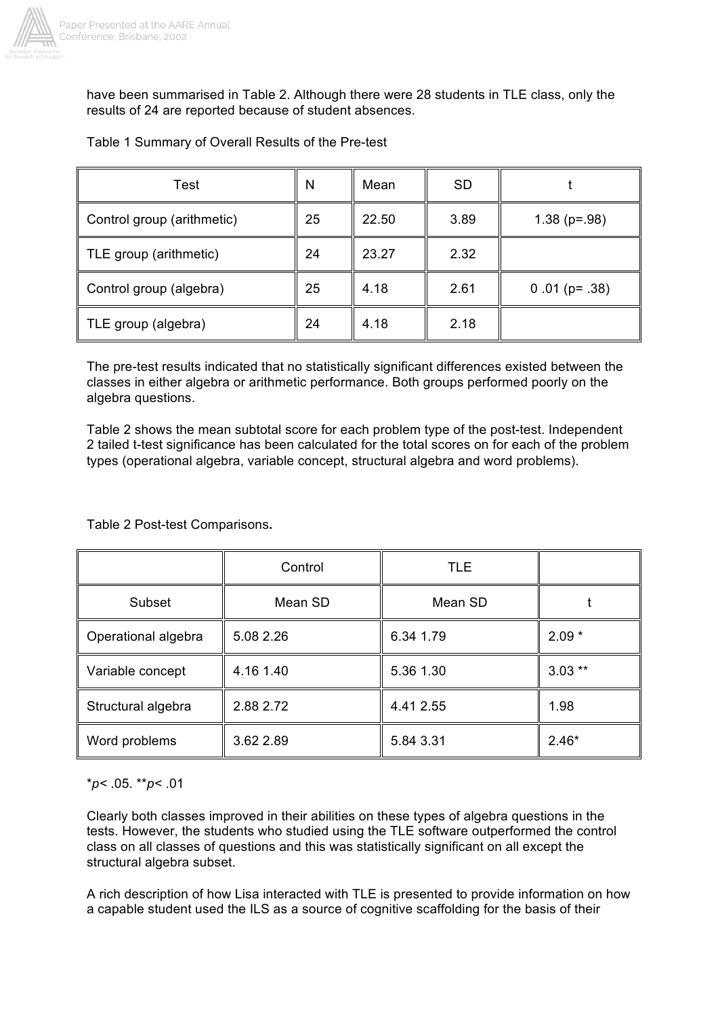

have been summarised in Table 2. Although there were 28 students in TLE class, only the results of 24 are reported because of student absences.

Table 1 Summary of Overall Results of the Pre-test

| Test                       | N  | Mean  | <b>SD</b> |                 |
|----------------------------|----|-------|-----------|-----------------|
| Control group (arithmetic) | 25 | 22.50 | 3.89      | $1.38$ (p=.98)  |
| TLE group (arithmetic)     | 24 | 23.27 | 2.32      |                 |
| Control group (algebra)    | 25 | 4.18  | 2.61      | $0.01$ (p= .38) |
| TLE group (algebra)        | 24 | 4.18  | 2.18      |                 |

The pre-test results indicated that no statistically significant differences existed between the classes in either algebra or arithmetic performance. Both groups performed poorly on the algebra questions.

Table 2 shows the mean subtotal score for each problem type of the post-test. Independent 2 tailed t-test significance has been calculated for the total scores on for each of the problem types (operational algebra, variable concept, structural algebra and word problems).

## Table 2 Post-test Comparisons**.**

|                     | Control   | <b>TLE</b> |          |
|---------------------|-----------|------------|----------|
| Subset              | Mean SD   | Mean SD    |          |
| Operational algebra | 5.08 2.26 | 6.34 1.79  | $2.09*$  |
| Variable concept    | 4.16 1.40 | 5.36 1.30  | $3.03**$ |
| Structural algebra  | 2.88 2.72 | 4.41 2.55  | 1.98     |
| Word problems       | 3.62 2.89 | 5.84 3.31  | $2.46*$  |

## \**p<* .05. \*\**p<* .01

Clearly both classes improved in their abilities on these types of algebra questions in the tests. However, the students who studied using the TLE software outperformed the control class on all classes of questions and this was statistically significant on all except the structural algebra subset.

A rich description of how Lisa interacted with TLE is presented to provide information on how a capable student used the ILS as a source of cognitive scaffolding for the basis of their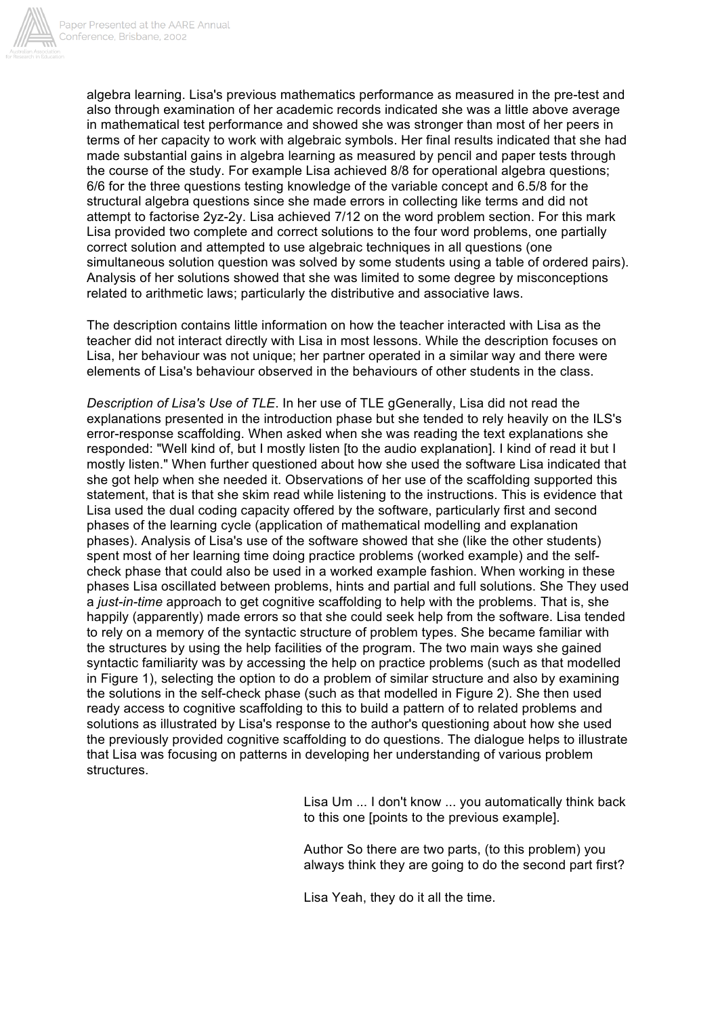

algebra learning. Lisa's previous mathematics performance as measured in the pre-test and also through examination of her academic records indicated she was a little above average in mathematical test performance and showed she was stronger than most of her peers in terms of her capacity to work with algebraic symbols. Her final results indicated that she had made substantial gains in algebra learning as measured by pencil and paper tests through the course of the study. For example Lisa achieved 8/8 for operational algebra questions; 6/6 for the three questions testing knowledge of the variable concept and 6.5/8 for the structural algebra questions since she made errors in collecting like terms and did not attempt to factorise 2yz-2y. Lisa achieved 7/12 on the word problem section. For this mark Lisa provided two complete and correct solutions to the four word problems, one partially correct solution and attempted to use algebraic techniques in all questions (one simultaneous solution question was solved by some students using a table of ordered pairs). Analysis of her solutions showed that she was limited to some degree by misconceptions related to arithmetic laws; particularly the distributive and associative laws.

The description contains little information on how the teacher interacted with Lisa as the teacher did not interact directly with Lisa in most lessons. While the description focuses on Lisa, her behaviour was not unique; her partner operated in a similar way and there were elements of Lisa's behaviour observed in the behaviours of other students in the class.

*Description of Lisa's Use of TLE*. In her use of TLE gGenerally, Lisa did not read the explanations presented in the introduction phase but she tended to rely heavily on the ILS's error-response scaffolding. When asked when she was reading the text explanations she responded: "Well kind of, but I mostly listen [to the audio explanation]. I kind of read it but I mostly listen." When further questioned about how she used the software Lisa indicated that she got help when she needed it. Observations of her use of the scaffolding supported this statement, that is that she skim read while listening to the instructions. This is evidence that Lisa used the dual coding capacity offered by the software, particularly first and second phases of the learning cycle (application of mathematical modelling and explanation phases). Analysis of Lisa's use of the software showed that she (like the other students) spent most of her learning time doing practice problems (worked example) and the selfcheck phase that could also be used in a worked example fashion. When working in these phases Lisa oscillated between problems, hints and partial and full solutions. She They used a *just-in-time* approach to get cognitive scaffolding to help with the problems. That is, she happily (apparently) made errors so that she could seek help from the software. Lisa tended to rely on a memory of the syntactic structure of problem types. She became familiar with the structures by using the help facilities of the program. The two main ways she gained syntactic familiarity was by accessing the help on practice problems (such as that modelled in Figure 1), selecting the option to do a problem of similar structure and also by examining the solutions in the self-check phase (such as that modelled in Figure 2). She then used ready access to cognitive scaffolding to this to build a pattern of to related problems and solutions as illustrated by Lisa's response to the author's questioning about how she used the previously provided cognitive scaffolding to do questions. The dialogue helps to illustrate that Lisa was focusing on patterns in developing her understanding of various problem structures.

> Lisa Um ... I don't know ... you automatically think back to this one [points to the previous example].

> Author So there are two parts, (to this problem) you always think they are going to do the second part first?

Lisa Yeah, they do it all the time.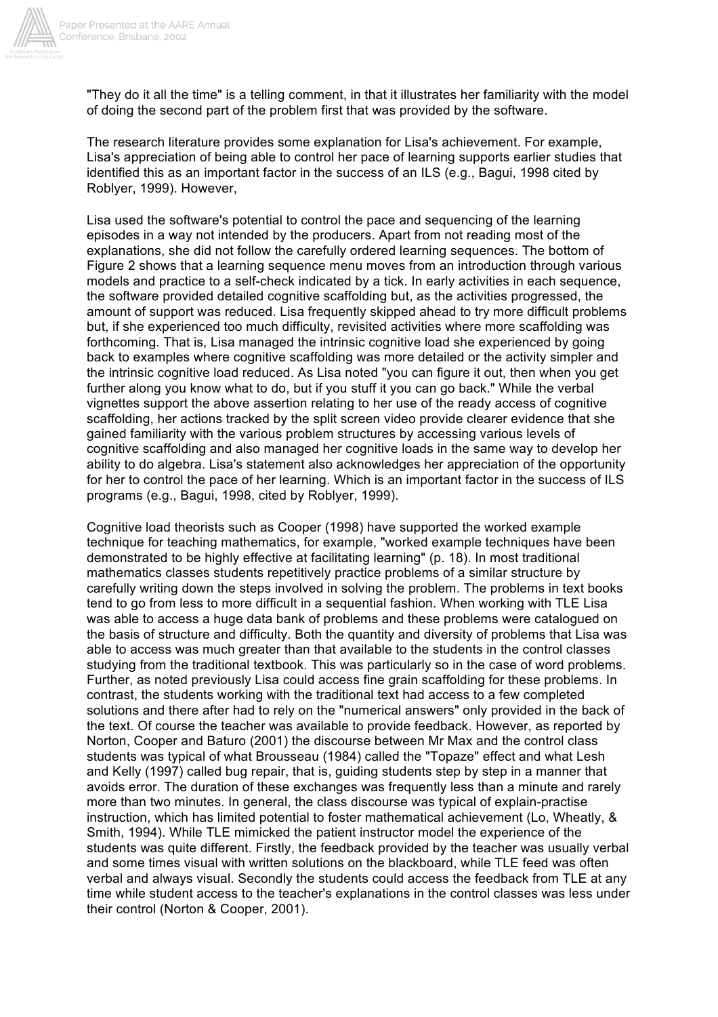

"They do it all the time" is a telling comment, in that it illustrates her familiarity with the model of doing the second part of the problem first that was provided by the software.

The research literature provides some explanation for Lisa's achievement. For example, Lisa's appreciation of being able to control her pace of learning supports earlier studies that identified this as an important factor in the success of an ILS (e.g., Bagui, 1998 cited by Roblyer, 1999). However,

Lisa used the software's potential to control the pace and sequencing of the learning episodes in a way not intended by the producers. Apart from not reading most of the explanations, she did not follow the carefully ordered learning sequences. The bottom of Figure 2 shows that a learning sequence menu moves from an introduction through various models and practice to a self-check indicated by a tick. In early activities in each sequence, the software provided detailed cognitive scaffolding but, as the activities progressed, the amount of support was reduced. Lisa frequently skipped ahead to try more difficult problems but, if she experienced too much difficulty, revisited activities where more scaffolding was forthcoming. That is, Lisa managed the intrinsic cognitive load she experienced by going back to examples where cognitive scaffolding was more detailed or the activity simpler and the intrinsic cognitive load reduced. As Lisa noted "you can figure it out, then when you get further along you know what to do, but if you stuff it you can go back." While the verbal vignettes support the above assertion relating to her use of the ready access of cognitive scaffolding, her actions tracked by the split screen video provide clearer evidence that she gained familiarity with the various problem structures by accessing various levels of cognitive scaffolding and also managed her cognitive loads in the same way to develop her ability to do algebra. Lisa's statement also acknowledges her appreciation of the opportunity for her to control the pace of her learning. Which is an important factor in the success of ILS programs (e.g., Bagui, 1998, cited by Roblyer, 1999).

Cognitive load theorists such as Cooper (1998) have supported the worked example technique for teaching mathematics, for example, "worked example techniques have been demonstrated to be highly effective at facilitating learning" (p. 18). In most traditional mathematics classes students repetitively practice problems of a similar structure by carefully writing down the steps involved in solving the problem. The problems in text books tend to go from less to more difficult in a sequential fashion. When working with TLE Lisa was able to access a huge data bank of problems and these problems were catalogued on the basis of structure and difficulty. Both the quantity and diversity of problems that Lisa was able to access was much greater than that available to the students in the control classes studying from the traditional textbook. This was particularly so in the case of word problems. Further, as noted previously Lisa could access fine grain scaffolding for these problems. In contrast, the students working with the traditional text had access to a few completed solutions and there after had to rely on the "numerical answers" only provided in the back of the text. Of course the teacher was available to provide feedback. However, as reported by Norton, Cooper and Baturo (2001) the discourse between Mr Max and the control class students was typical of what Brousseau (1984) called the "Topaze" effect and what Lesh and Kelly (1997) called bug repair, that is, guiding students step by step in a manner that avoids error. The duration of these exchanges was frequently less than a minute and rarely more than two minutes. In general, the class discourse was typical of explain-practise instruction, which has limited potential to foster mathematical achievement (Lo, Wheatly, & Smith, 1994). While TLE mimicked the patient instructor model the experience of the students was quite different. Firstly, the feedback provided by the teacher was usually verbal and some times visual with written solutions on the blackboard, while TLE feed was often verbal and always visual. Secondly the students could access the feedback from TLE at any time while student access to the teacher's explanations in the control classes was less under their control (Norton & Cooper, 2001).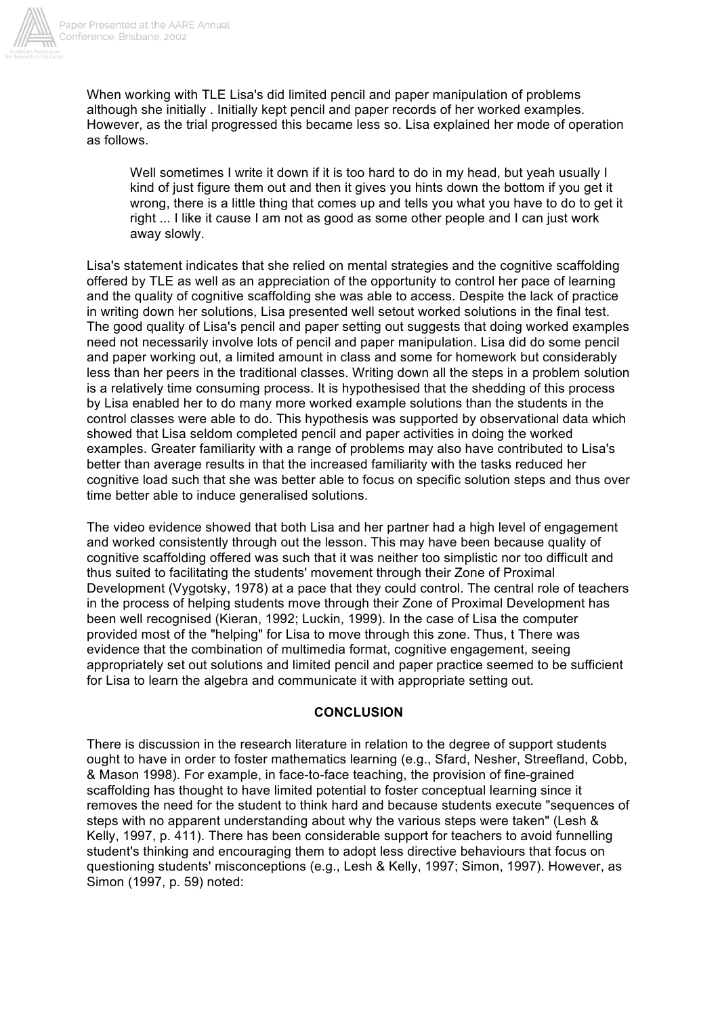

When working with TLE Lisa's did limited pencil and paper manipulation of problems although she initially . Initially kept pencil and paper records of her worked examples. However, as the trial progressed this became less so. Lisa explained her mode of operation as follows.

Well sometimes I write it down if it is too hard to do in my head, but yeah usually I kind of just figure them out and then it gives you hints down the bottom if you get it wrong, there is a little thing that comes up and tells you what you have to do to get it right ... I like it cause I am not as good as some other people and I can just work away slowly.

Lisa's statement indicates that she relied on mental strategies and the cognitive scaffolding offered by TLE as well as an appreciation of the opportunity to control her pace of learning and the quality of cognitive scaffolding she was able to access. Despite the lack of practice in writing down her solutions, Lisa presented well setout worked solutions in the final test. The good quality of Lisa's pencil and paper setting out suggests that doing worked examples need not necessarily involve lots of pencil and paper manipulation. Lisa did do some pencil and paper working out, a limited amount in class and some for homework but considerably less than her peers in the traditional classes. Writing down all the steps in a problem solution is a relatively time consuming process. It is hypothesised that the shedding of this process by Lisa enabled her to do many more worked example solutions than the students in the control classes were able to do. This hypothesis was supported by observational data which showed that Lisa seldom completed pencil and paper activities in doing the worked examples. Greater familiarity with a range of problems may also have contributed to Lisa's better than average results in that the increased familiarity with the tasks reduced her cognitive load such that she was better able to focus on specific solution steps and thus over time better able to induce generalised solutions.

The video evidence showed that both Lisa and her partner had a high level of engagement and worked consistently through out the lesson. This may have been because quality of cognitive scaffolding offered was such that it was neither too simplistic nor too difficult and thus suited to facilitating the students' movement through their Zone of Proximal Development (Vygotsky, 1978) at a pace that they could control. The central role of teachers in the process of helping students move through their Zone of Proximal Development has been well recognised (Kieran, 1992; Luckin, 1999). In the case of Lisa the computer provided most of the "helping" for Lisa to move through this zone. Thus, t There was evidence that the combination of multimedia format, cognitive engagement, seeing appropriately set out solutions and limited pencil and paper practice seemed to be sufficient for Lisa to learn the algebra and communicate it with appropriate setting out.

## **CONCLUSION**

There is discussion in the research literature in relation to the degree of support students ought to have in order to foster mathematics learning (e.g., Sfard, Nesher, Streefland, Cobb, & Mason 1998). For example, in face-to-face teaching, the provision of fine-grained scaffolding has thought to have limited potential to foster conceptual learning since it removes the need for the student to think hard and because students execute "sequences of steps with no apparent understanding about why the various steps were taken" (Lesh & Kelly, 1997, p. 411). There has been considerable support for teachers to avoid funnelling student's thinking and encouraging them to adopt less directive behaviours that focus on questioning students' misconceptions (e.g., Lesh & Kelly, 1997; Simon, 1997). However, as Simon (1997, p. 59) noted: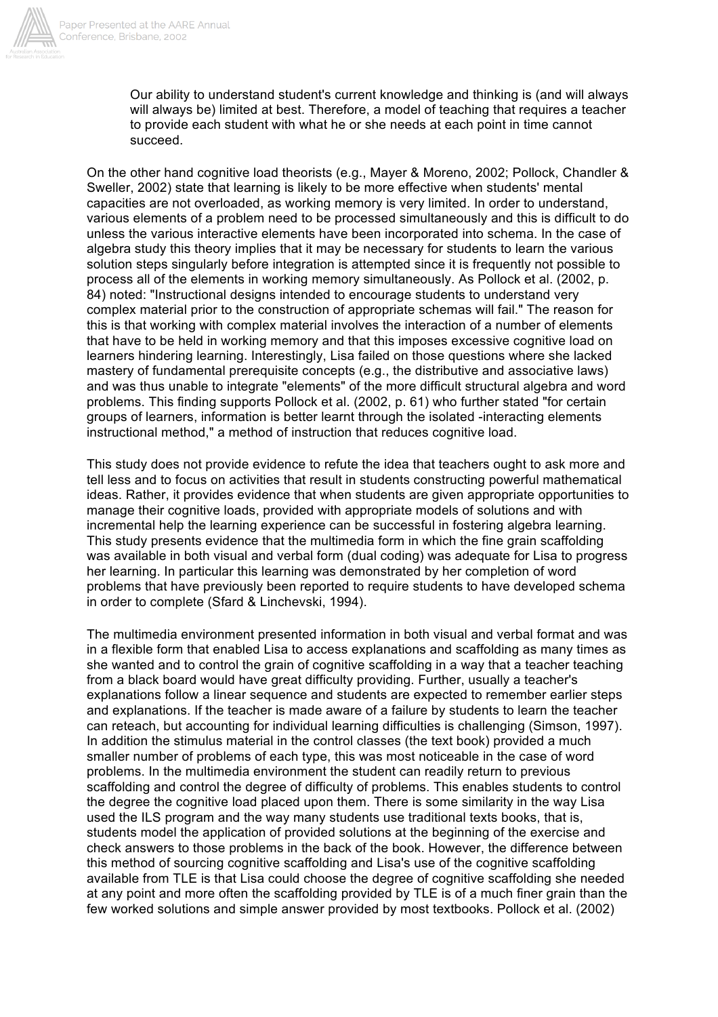

Our ability to understand student's current knowledge and thinking is (and will always will always be) limited at best. Therefore, a model of teaching that requires a teacher to provide each student with what he or she needs at each point in time cannot succeed.

On the other hand cognitive load theorists (e.g., Mayer & Moreno, 2002; Pollock, Chandler & Sweller, 2002) state that learning is likely to be more effective when students' mental capacities are not overloaded, as working memory is very limited. In order to understand, various elements of a problem need to be processed simultaneously and this is difficult to do unless the various interactive elements have been incorporated into schema. In the case of algebra study this theory implies that it may be necessary for students to learn the various solution steps singularly before integration is attempted since it is frequently not possible to process all of the elements in working memory simultaneously. As Pollock et al. (2002, p. 84) noted: "Instructional designs intended to encourage students to understand very complex material prior to the construction of appropriate schemas will fail." The reason for this is that working with complex material involves the interaction of a number of elements that have to be held in working memory and that this imposes excessive cognitive load on learners hindering learning. Interestingly, Lisa failed on those questions where she lacked mastery of fundamental prerequisite concepts (e.g., the distributive and associative laws) and was thus unable to integrate "elements" of the more difficult structural algebra and word problems. This finding supports Pollock et al. (2002, p. 61) who further stated "for certain groups of learners, information is better learnt through the isolated -interacting elements instructional method," a method of instruction that reduces cognitive load.

This study does not provide evidence to refute the idea that teachers ought to ask more and tell less and to focus on activities that result in students constructing powerful mathematical ideas. Rather, it provides evidence that when students are given appropriate opportunities to manage their cognitive loads, provided with appropriate models of solutions and with incremental help the learning experience can be successful in fostering algebra learning. This study presents evidence that the multimedia form in which the fine grain scaffolding was available in both visual and verbal form (dual coding) was adequate for Lisa to progress her learning. In particular this learning was demonstrated by her completion of word problems that have previously been reported to require students to have developed schema in order to complete (Sfard & Linchevski, 1994).

The multimedia environment presented information in both visual and verbal format and was in a flexible form that enabled Lisa to access explanations and scaffolding as many times as she wanted and to control the grain of cognitive scaffolding in a way that a teacher teaching from a black board would have great difficulty providing. Further, usually a teacher's explanations follow a linear sequence and students are expected to remember earlier steps and explanations. If the teacher is made aware of a failure by students to learn the teacher can reteach, but accounting for individual learning difficulties is challenging (Simson, 1997). In addition the stimulus material in the control classes (the text book) provided a much smaller number of problems of each type, this was most noticeable in the case of word problems. In the multimedia environment the student can readily return to previous scaffolding and control the degree of difficulty of problems. This enables students to control the degree the cognitive load placed upon them. There is some similarity in the way Lisa used the ILS program and the way many students use traditional texts books, that is, students model the application of provided solutions at the beginning of the exercise and check answers to those problems in the back of the book. However, the difference between this method of sourcing cognitive scaffolding and Lisa's use of the cognitive scaffolding available from TLE is that Lisa could choose the degree of cognitive scaffolding she needed at any point and more often the scaffolding provided by TLE is of a much finer grain than the few worked solutions and simple answer provided by most textbooks. Pollock et al. (2002)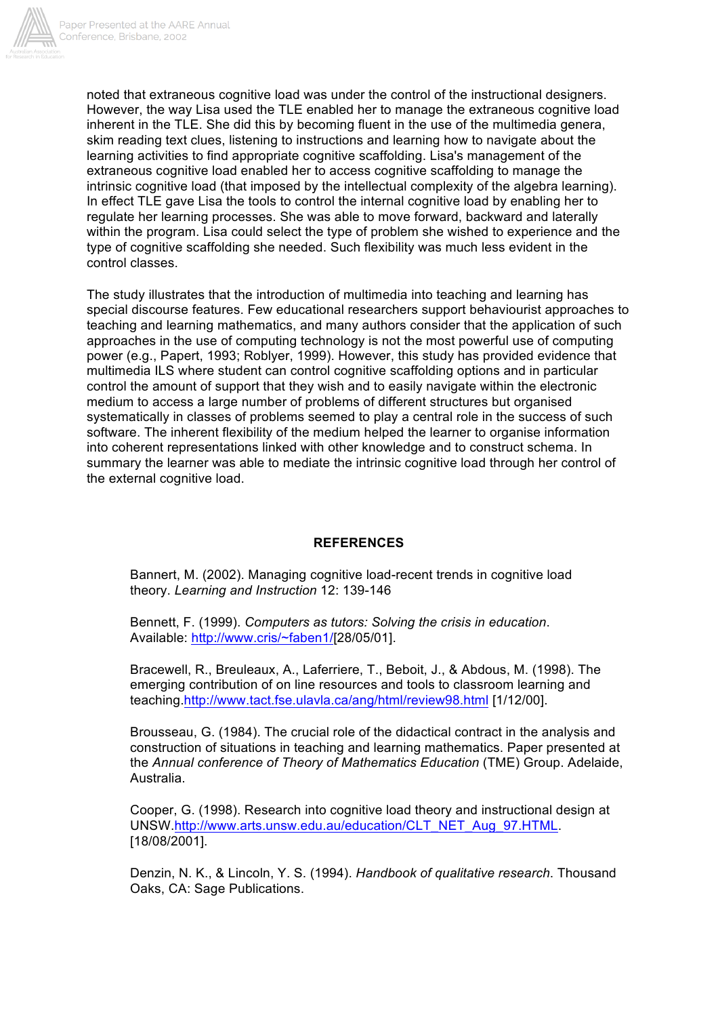

noted that extraneous cognitive load was under the control of the instructional designers. However, the way Lisa used the TLE enabled her to manage the extraneous cognitive load inherent in the TLE. She did this by becoming fluent in the use of the multimedia genera, skim reading text clues, listening to instructions and learning how to navigate about the learning activities to find appropriate cognitive scaffolding. Lisa's management of the extraneous cognitive load enabled her to access cognitive scaffolding to manage the intrinsic cognitive load (that imposed by the intellectual complexity of the algebra learning). In effect TLE gave Lisa the tools to control the internal cognitive load by enabling her to regulate her learning processes. She was able to move forward, backward and laterally within the program. Lisa could select the type of problem she wished to experience and the type of cognitive scaffolding she needed. Such flexibility was much less evident in the control classes.

The study illustrates that the introduction of multimedia into teaching and learning has special discourse features. Few educational researchers support behaviourist approaches to teaching and learning mathematics, and many authors consider that the application of such approaches in the use of computing technology is not the most powerful use of computing power (e.g., Papert, 1993; Roblyer, 1999). However, this study has provided evidence that multimedia ILS where student can control cognitive scaffolding options and in particular control the amount of support that they wish and to easily navigate within the electronic medium to access a large number of problems of different structures but organised systematically in classes of problems seemed to play a central role in the success of such software. The inherent flexibility of the medium helped the learner to organise information into coherent representations linked with other knowledge and to construct schema. In summary the learner was able to mediate the intrinsic cognitive load through her control of the external cognitive load.

## **REFERENCES**

Bannert, M. (2002). Managing cognitive load-recent trends in cognitive load theory. *Learning and Instruction* 12: 139-146

Bennett, F. (1999). *Computers as tutors: Solving the crisis in education*. Available: http://www.cris/~faben1/[28/05/01].

Bracewell, R., Breuleaux, A., Laferriere, T., Beboit, J., & Abdous, M. (1998). The emerging contribution of on line resources and tools to classroom learning and teaching.http://www.tact.fse.ulavla.ca/ang/html/review98.html [1/12/00].

Brousseau, G. (1984). The crucial role of the didactical contract in the analysis and construction of situations in teaching and learning mathematics. Paper presented at the *Annual conference of Theory of Mathematics Education* (TME) Group. Adelaide, Australia.

Cooper, G. (1998). Research into cognitive load theory and instructional design at UNSW.http://www.arts.unsw.edu.au/education/CLT\_NET\_Aug\_97.HTML. [18/08/2001].

Denzin, N. K., & Lincoln, Y. S. (1994). *Handbook of qualitative research*. Thousand Oaks, CA: Sage Publications.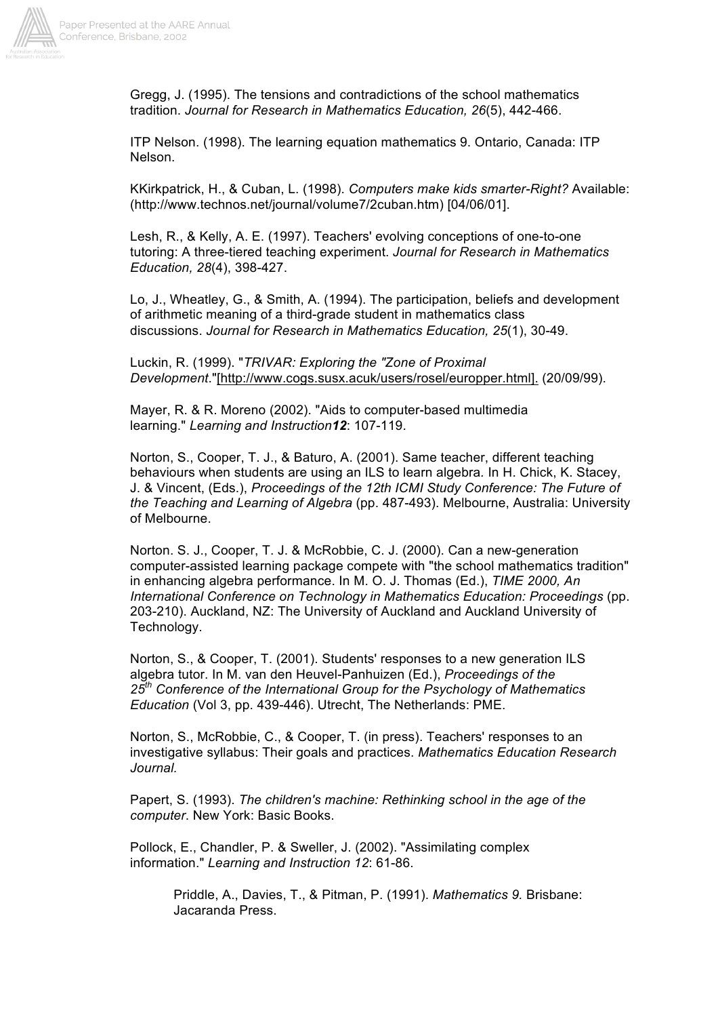

Gregg, J. (1995). The tensions and contradictions of the school mathematics tradition. *Journal for Research in Mathematics Education, 26*(5), 442-466.

ITP Nelson. (1998). The learning equation mathematics 9. Ontario, Canada: ITP Nelson.

KKirkpatrick, H., & Cuban, L. (1998). *Computers make kids smarter-Right?* Available: (http://www.technos.net/journal/volume7/2cuban.htm) [04/06/01].

Lesh, R., & Kelly, A. E. (1997). Teachers' evolving conceptions of one-to-one tutoring: A three-tiered teaching experiment. *Journal for Research in Mathematics Education, 28*(4), 398-427.

Lo, J., Wheatley, G., & Smith, A. (1994). The participation, beliefs and development of arithmetic meaning of a third-grade student in mathematics class discussions. *Journal for Research in Mathematics Education, 25*(1), 30-49.

Luckin, R. (1999). "*TRIVAR: Exploring the "Zone of Proximal Development*."[http://www.cogs.susx.acuk/users/rosel/europper.html]. (20/09/99).

Mayer, R. & R. Moreno (2002). "Aids to computer-based multimedia learning." *Learning and Instruction12*: 107-119.

Norton, S., Cooper, T. J., & Baturo, A. (2001). Same teacher, different teaching behaviours when students are using an ILS to learn algebra*.* In H. Chick, K. Stacey, J. & Vincent, (Eds.), *Proceedings of the 12th ICMI Study Conference: The Future of the Teaching and Learning of Algebra* (pp. 487-493). Melbourne, Australia: University of Melbourne.

Norton. S. J., Cooper, T. J. & McRobbie, C. J. (2000). Can a new-generation computer-assisted learning package compete with "the school mathematics tradition" in enhancing algebra performance. In M. O. J. Thomas (Ed.), *TIME 2000, An International Conference on Technology in Mathematics Education: Proceedings* (pp. 203-210). Auckland, NZ: The University of Auckland and Auckland University of Technology.

Norton, S., & Cooper, T. (2001). Students' responses to a new generation ILS algebra tutor. In M. van den Heuvel-Panhuizen (Ed.), *Proceedings of the 25th Conference of the International Group for the Psychology of Mathematics Education* (Vol 3, pp. 439-446). Utrecht, The Netherlands: PME.

Norton, S., McRobbie, C., & Cooper, T. (in press). Teachers' responses to an investigative syllabus: Their goals and practices. *Mathematics Education Research Journal.*

Papert, S. (1993). *The children's machine: Rethinking school in the age of the computer*. New York: Basic Books.

Pollock, E., Chandler, P. & Sweller, J. (2002). "Assimilating complex information." *Learning and Instruction 12*: 61-86.

> Priddle, A., Davies, T., & Pitman, P. (1991). *Mathematics 9.* Brisbane: Jacaranda Press.